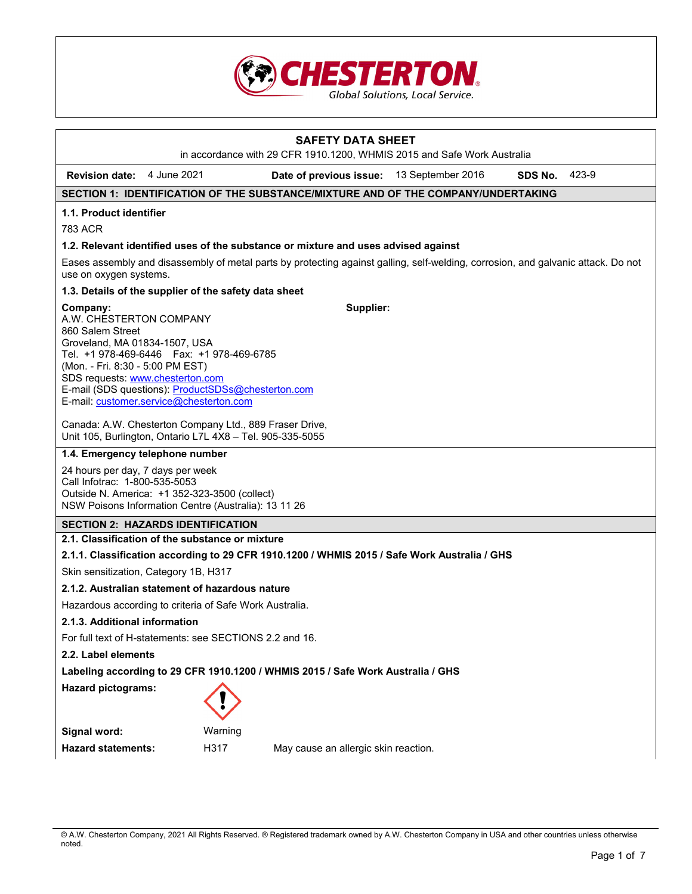

| <b>SAFETY DATA SHEET</b>                                                                                                                                                                                                                                                                                        |                                                                                                                                                             |         |                                                                                              |                   |         |       |
|-----------------------------------------------------------------------------------------------------------------------------------------------------------------------------------------------------------------------------------------------------------------------------------------------------------------|-------------------------------------------------------------------------------------------------------------------------------------------------------------|---------|----------------------------------------------------------------------------------------------|-------------------|---------|-------|
|                                                                                                                                                                                                                                                                                                                 |                                                                                                                                                             |         | in accordance with 29 CFR 1910.1200, WHMIS 2015 and Safe Work Australia                      |                   |         |       |
| <b>Revision date:</b> 4 June 2021                                                                                                                                                                                                                                                                               |                                                                                                                                                             |         | Date of previous issue:                                                                      | 13 September 2016 | SDS No. | 423-9 |
|                                                                                                                                                                                                                                                                                                                 |                                                                                                                                                             |         | SECTION 1: IDENTIFICATION OF THE SUBSTANCE/MIXTURE AND OF THE COMPANY/UNDERTAKING            |                   |         |       |
| 1.1. Product identifier                                                                                                                                                                                                                                                                                         |                                                                                                                                                             |         |                                                                                              |                   |         |       |
| 783 ACR                                                                                                                                                                                                                                                                                                         |                                                                                                                                                             |         |                                                                                              |                   |         |       |
|                                                                                                                                                                                                                                                                                                                 |                                                                                                                                                             |         | 1.2. Relevant identified uses of the substance or mixture and uses advised against           |                   |         |       |
|                                                                                                                                                                                                                                                                                                                 | Eases assembly and disassembly of metal parts by protecting against galling, self-welding, corrosion, and galvanic attack. Do not<br>use on oxygen systems. |         |                                                                                              |                   |         |       |
| 1.3. Details of the supplier of the safety data sheet                                                                                                                                                                                                                                                           |                                                                                                                                                             |         |                                                                                              |                   |         |       |
| Company:<br>A.W. CHESTERTON COMPANY<br>860 Salem Street<br>Groveland, MA 01834-1507, USA<br>Tel. +1 978-469-6446  Fax: +1 978-469-6785<br>(Mon. - Fri. 8:30 - 5:00 PM EST)<br>SDS requests: www.chesterton.com<br>E-mail (SDS questions): ProductSDSs@chesterton.com<br>E-mail: customer.service@chesterton.com |                                                                                                                                                             |         | Supplier:                                                                                    |                   |         |       |
| Canada: A.W. Chesterton Company Ltd., 889 Fraser Drive,<br>Unit 105, Burlington, Ontario L7L 4X8 - Tel. 905-335-5055                                                                                                                                                                                            |                                                                                                                                                             |         |                                                                                              |                   |         |       |
| 1.4. Emergency telephone number                                                                                                                                                                                                                                                                                 |                                                                                                                                                             |         |                                                                                              |                   |         |       |
| 24 hours per day, 7 days per week<br>Call Infotrac: 1-800-535-5053<br>Outside N. America: +1 352-323-3500 (collect)<br>NSW Poisons Information Centre (Australia): 13 11 26                                                                                                                                     |                                                                                                                                                             |         |                                                                                              |                   |         |       |
| <b>SECTION 2: HAZARDS IDENTIFICATION</b>                                                                                                                                                                                                                                                                        |                                                                                                                                                             |         |                                                                                              |                   |         |       |
| 2.1. Classification of the substance or mixture                                                                                                                                                                                                                                                                 |                                                                                                                                                             |         |                                                                                              |                   |         |       |
|                                                                                                                                                                                                                                                                                                                 |                                                                                                                                                             |         | 2.1.1. Classification according to 29 CFR 1910.1200 / WHMIS 2015 / Safe Work Australia / GHS |                   |         |       |
| Skin sensitization, Category 1B, H317                                                                                                                                                                                                                                                                           |                                                                                                                                                             |         |                                                                                              |                   |         |       |
| 2.1.2. Australian statement of hazardous nature                                                                                                                                                                                                                                                                 |                                                                                                                                                             |         |                                                                                              |                   |         |       |
| Hazardous according to criteria of Safe Work Australia.                                                                                                                                                                                                                                                         |                                                                                                                                                             |         |                                                                                              |                   |         |       |
| 2.1.3. Additional information                                                                                                                                                                                                                                                                                   |                                                                                                                                                             |         |                                                                                              |                   |         |       |
| For full text of H-statements: see SECTIONS 2.2 and 16.                                                                                                                                                                                                                                                         |                                                                                                                                                             |         |                                                                                              |                   |         |       |
| 2.2. Label elements                                                                                                                                                                                                                                                                                             |                                                                                                                                                             |         |                                                                                              |                   |         |       |
| Labeling according to 29 CFR 1910.1200 / WHMIS 2015 / Safe Work Australia / GHS                                                                                                                                                                                                                                 |                                                                                                                                                             |         |                                                                                              |                   |         |       |
| <b>Hazard pictograms:</b>                                                                                                                                                                                                                                                                                       |                                                                                                                                                             |         |                                                                                              |                   |         |       |
| Signal word:                                                                                                                                                                                                                                                                                                    |                                                                                                                                                             | Warning |                                                                                              |                   |         |       |
| <b>Hazard statements:</b>                                                                                                                                                                                                                                                                                       |                                                                                                                                                             | H317    | May cause an allergic skin reaction.                                                         |                   |         |       |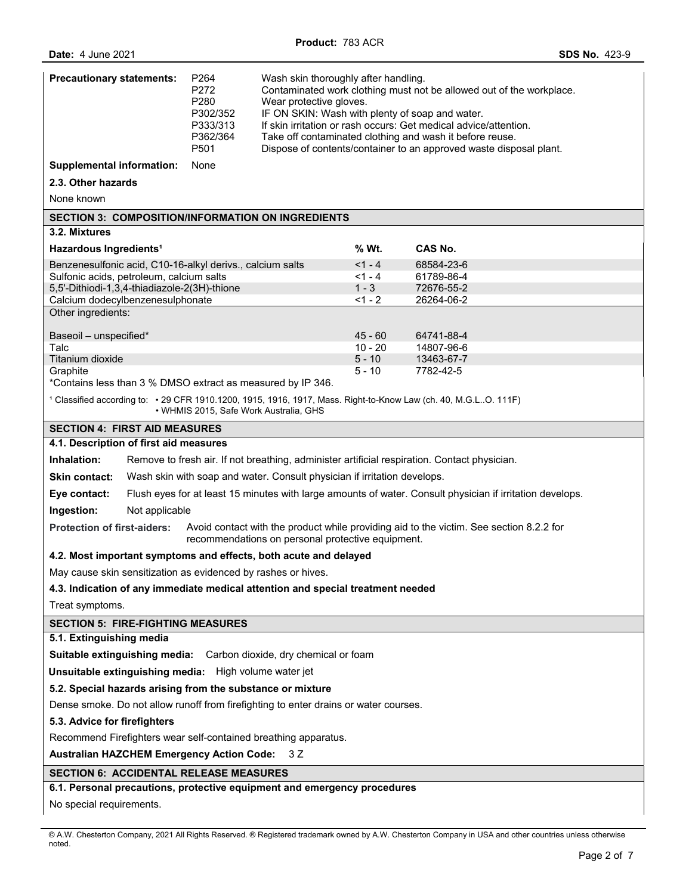| <b>Precautionary statements:</b>                                                                                                                                                   | P <sub>264</sub><br>P272<br>P280<br>P302/352<br>P333/313<br>P362/364<br>P501                                | Wash skin thoroughly after handling.<br>Contaminated work clothing must not be allowed out of the workplace.<br>Wear protective gloves.<br>IF ON SKIN: Wash with plenty of soap and water.<br>If skin irritation or rash occurs: Get medical advice/attention.<br>Take off contaminated clothing and wash it before reuse.<br>Dispose of contents/container to an approved waste disposal plant. |                      |                          |  |
|------------------------------------------------------------------------------------------------------------------------------------------------------------------------------------|-------------------------------------------------------------------------------------------------------------|--------------------------------------------------------------------------------------------------------------------------------------------------------------------------------------------------------------------------------------------------------------------------------------------------------------------------------------------------------------------------------------------------|----------------------|--------------------------|--|
| <b>Supplemental information:</b>                                                                                                                                                   | None                                                                                                        |                                                                                                                                                                                                                                                                                                                                                                                                  |                      |                          |  |
| 2.3. Other hazards                                                                                                                                                                 |                                                                                                             |                                                                                                                                                                                                                                                                                                                                                                                                  |                      |                          |  |
| None known                                                                                                                                                                         |                                                                                                             |                                                                                                                                                                                                                                                                                                                                                                                                  |                      |                          |  |
| <b>SECTION 3: COMPOSITION/INFORMATION ON INGREDIENTS</b>                                                                                                                           |                                                                                                             |                                                                                                                                                                                                                                                                                                                                                                                                  |                      |                          |  |
| 3.2. Mixtures                                                                                                                                                                      |                                                                                                             |                                                                                                                                                                                                                                                                                                                                                                                                  |                      |                          |  |
| Hazardous Ingredients <sup>1</sup>                                                                                                                                                 |                                                                                                             |                                                                                                                                                                                                                                                                                                                                                                                                  | % Wt.                | <b>CAS No.</b>           |  |
| Benzenesulfonic acid, C10-16-alkyl derivs., calcium salts                                                                                                                          |                                                                                                             |                                                                                                                                                                                                                                                                                                                                                                                                  | $<1 - 4$             | 68584-23-6               |  |
| Sulfonic acids, petroleum, calcium salts<br>5,5'-Dithiodi-1,3,4-thiadiazole-2(3H)-thione                                                                                           |                                                                                                             |                                                                                                                                                                                                                                                                                                                                                                                                  | $< 1 - 4$<br>$1 - 3$ | 61789-86-4<br>72676-55-2 |  |
| Calcium dodecylbenzenesulphonate                                                                                                                                                   |                                                                                                             |                                                                                                                                                                                                                                                                                                                                                                                                  | $<1 - 2$             | 26264-06-2               |  |
| Other ingredients:                                                                                                                                                                 |                                                                                                             |                                                                                                                                                                                                                                                                                                                                                                                                  |                      |                          |  |
| Baseoil - unspecified*                                                                                                                                                             |                                                                                                             |                                                                                                                                                                                                                                                                                                                                                                                                  | $45 - 60$            | 64741-88-4               |  |
| Talc                                                                                                                                                                               |                                                                                                             |                                                                                                                                                                                                                                                                                                                                                                                                  | $10 - 20$            | 14807-96-6               |  |
| Titanium dioxide                                                                                                                                                                   |                                                                                                             |                                                                                                                                                                                                                                                                                                                                                                                                  | $5 - 10$             | 13463-67-7               |  |
| Graphite<br>*Contains less than 3 % DMSO extract as measured by IP 346.                                                                                                            |                                                                                                             |                                                                                                                                                                                                                                                                                                                                                                                                  | 5 - 10               | 7782-42-5                |  |
|                                                                                                                                                                                    |                                                                                                             |                                                                                                                                                                                                                                                                                                                                                                                                  |                      |                          |  |
| <sup>1</sup> Classified according to: • 29 CFR 1910.1200, 1915, 1916, 1917, Mass. Right-to-Know Law (ch. 40, M.G.LO. 111F)                                                         | • WHMIS 2015, Safe Work Australia, GHS                                                                      |                                                                                                                                                                                                                                                                                                                                                                                                  |                      |                          |  |
| <b>SECTION 4: FIRST AID MEASURES</b>                                                                                                                                               |                                                                                                             |                                                                                                                                                                                                                                                                                                                                                                                                  |                      |                          |  |
| 4.1. Description of first aid measures                                                                                                                                             |                                                                                                             |                                                                                                                                                                                                                                                                                                                                                                                                  |                      |                          |  |
|                                                                                                                                                                                    | Inhalation:<br>Remove to fresh air. If not breathing, administer artificial respiration. Contact physician. |                                                                                                                                                                                                                                                                                                                                                                                                  |                      |                          |  |
| <b>Skin contact:</b>                                                                                                                                                               |                                                                                                             | Wash skin with soap and water. Consult physician if irritation develops.                                                                                                                                                                                                                                                                                                                         |                      |                          |  |
| Eye contact:                                                                                                                                                                       | Flush eyes for at least 15 minutes with large amounts of water. Consult physician if irritation develops.   |                                                                                                                                                                                                                                                                                                                                                                                                  |                      |                          |  |
| Ingestion:<br>Not applicable                                                                                                                                                       |                                                                                                             |                                                                                                                                                                                                                                                                                                                                                                                                  |                      |                          |  |
| Avoid contact with the product while providing aid to the victim. See section 8.2.2 for<br><b>Protection of first-aiders:</b><br>recommendations on personal protective equipment. |                                                                                                             |                                                                                                                                                                                                                                                                                                                                                                                                  |                      |                          |  |
| 4.2. Most important symptoms and effects, both acute and delayed                                                                                                                   |                                                                                                             |                                                                                                                                                                                                                                                                                                                                                                                                  |                      |                          |  |
| May cause skin sensitization as evidenced by rashes or hives.                                                                                                                      |                                                                                                             |                                                                                                                                                                                                                                                                                                                                                                                                  |                      |                          |  |
| 4.3. Indication of any immediate medical attention and special treatment needed                                                                                                    |                                                                                                             |                                                                                                                                                                                                                                                                                                                                                                                                  |                      |                          |  |
| Treat symptoms.                                                                                                                                                                    |                                                                                                             |                                                                                                                                                                                                                                                                                                                                                                                                  |                      |                          |  |
| <b>SECTION 5: FIRE-FIGHTING MEASURES</b>                                                                                                                                           |                                                                                                             |                                                                                                                                                                                                                                                                                                                                                                                                  |                      |                          |  |
| 5.1. Extinguishing media                                                                                                                                                           |                                                                                                             |                                                                                                                                                                                                                                                                                                                                                                                                  |                      |                          |  |
| Suitable extinguishing media: Carbon dioxide, dry chemical or foam                                                                                                                 |                                                                                                             |                                                                                                                                                                                                                                                                                                                                                                                                  |                      |                          |  |
| Unsuitable extinguishing media: High volume water jet                                                                                                                              |                                                                                                             |                                                                                                                                                                                                                                                                                                                                                                                                  |                      |                          |  |
| 5.2. Special hazards arising from the substance or mixture                                                                                                                         |                                                                                                             |                                                                                                                                                                                                                                                                                                                                                                                                  |                      |                          |  |
| Dense smoke. Do not allow runoff from firefighting to enter drains or water courses.                                                                                               |                                                                                                             |                                                                                                                                                                                                                                                                                                                                                                                                  |                      |                          |  |
| 5.3. Advice for firefighters                                                                                                                                                       |                                                                                                             |                                                                                                                                                                                                                                                                                                                                                                                                  |                      |                          |  |
| Recommend Firefighters wear self-contained breathing apparatus.                                                                                                                    |                                                                                                             |                                                                                                                                                                                                                                                                                                                                                                                                  |                      |                          |  |
| <b>Australian HAZCHEM Emergency Action Code:</b><br>3 Z                                                                                                                            |                                                                                                             |                                                                                                                                                                                                                                                                                                                                                                                                  |                      |                          |  |
| <b>SECTION 6: ACCIDENTAL RELEASE MEASURES</b>                                                                                                                                      |                                                                                                             |                                                                                                                                                                                                                                                                                                                                                                                                  |                      |                          |  |
| 6.1. Personal precautions, protective equipment and emergency procedures                                                                                                           |                                                                                                             |                                                                                                                                                                                                                                                                                                                                                                                                  |                      |                          |  |
| No special requirements.                                                                                                                                                           |                                                                                                             |                                                                                                                                                                                                                                                                                                                                                                                                  |                      |                          |  |

<sup>©</sup> A.W. Chesterton Company, 2021 All Rights Reserved. ® Registered trademark owned by A.W. Chesterton Company in USA and other countries unless otherwise noted.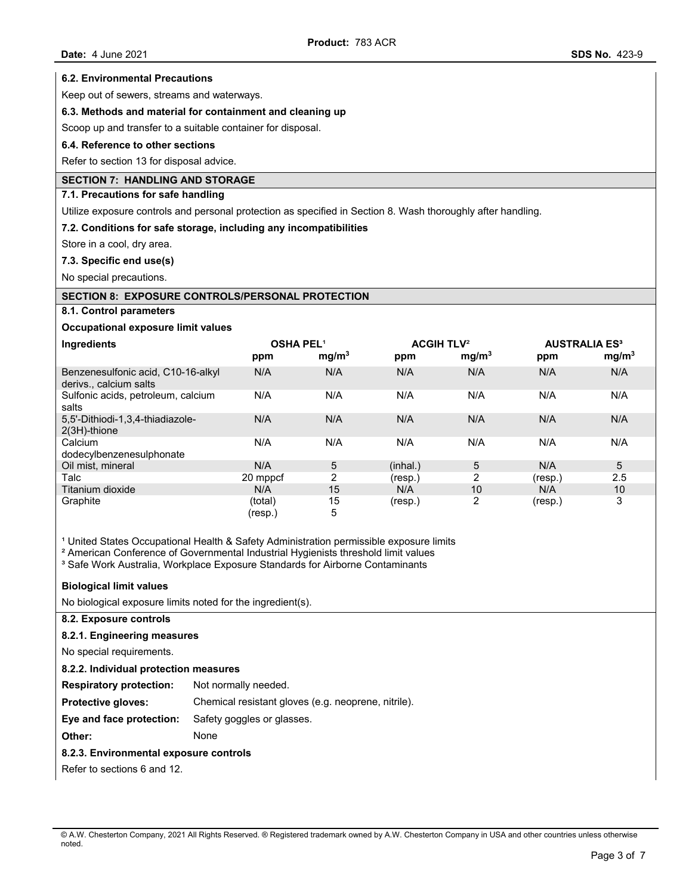#### **6.2. Environmental Precautions**

Keep out of sewers, streams and waterways.

### **6.3. Methods and material for containment and cleaning up**

Scoop up and transfer to a suitable container for disposal.

#### **6.4. Reference to other sections**

Refer to section 13 for disposal advice.

## **SECTION 7: HANDLING AND STORAGE**

#### **7.1. Precautions for safe handling**

Utilize exposure controls and personal protection as specified in Section 8. Wash thoroughly after handling.

### **7.2. Conditions for safe storage, including any incompatibilities**

Store in a cool, dry area.

### **7.3. Specific end use(s)**

No special precautions.

### **SECTION 8: EXPOSURE CONTROLS/PERSONAL PROTECTION**

### **8.1. Control parameters**

### **Occupational exposure limit values**

| Ingredients                                                | <b>OSHA PEL1</b><br>ppm | mg/m <sup>3</sup> | <b>ACGIH TLV<sup>2</sup></b><br>ppm | mg/m <sup>3</sup> | <b>AUSTRALIA ES<sup>3</sup></b><br>ppm | mg/m <sup>3</sup> |
|------------------------------------------------------------|-------------------------|-------------------|-------------------------------------|-------------------|----------------------------------------|-------------------|
| Benzenesulfonic acid, C10-16-alkyl<br>derivs calcium salts | N/A                     | N/A               | N/A                                 | N/A               | N/A                                    | N/A               |
| Sulfonic acids, petroleum, calcium<br>salts                | N/A                     | N/A               | N/A                                 | N/A               | N/A                                    | N/A               |
| 5,5'-Dithiodi-1,3,4-thiadiazole-<br>2(3H)-thione           | N/A                     | N/A               | N/A                                 | N/A               | N/A                                    | N/A               |
| Calcium<br>dodecylbenzenesulphonate                        | N/A                     | N/A               | N/A                                 | N/A               | N/A                                    | N/A               |
| Oil mist, mineral                                          | N/A                     | 5                 | (inhal.)                            | 5                 | N/A                                    | 5                 |
| Talc                                                       | 20 mppcf                | $\overline{2}$    | (resp.)                             | $\overline{2}$    | (resp.)                                | 2.5               |
| Titanium dioxide                                           | N/A                     | 15                | N/A                                 | 10                | N/A                                    | 10                |
| Graphite                                                   | (total)<br>(resp.)      | 15<br>5           | (resp.)                             | 2                 | (resp.)                                | 3                 |

<sup>1</sup> United States Occupational Health & Safety Administration permissible exposure limits

<sup>2</sup> American Conference of Governmental Industrial Hygienists threshold limit values

<sup>3</sup> Safe Work Australia, Workplace Exposure Standards for Airborne Contaminants

#### **Biological limit values**

No biological exposure limits noted for the ingredient(s).

## **8.2. Exposure controls**

#### **8.2.1. Engineering measures**

No special requirements.

#### **8.2.2. Individual protection measures**

**Respiratory protection:** Not normally needed.

**Protective gloves:** Chemical resistant gloves (e.g. neoprene, nitrile).

### **Eye and face protection:** Safety goggles or glasses.

**Other:** None

#### **8.2.3. Environmental exposure controls**

Refer to sections 6 and 12.

<sup>©</sup> A.W. Chesterton Company, 2021 All Rights Reserved. ® Registered trademark owned by A.W. Chesterton Company in USA and other countries unless otherwise noted.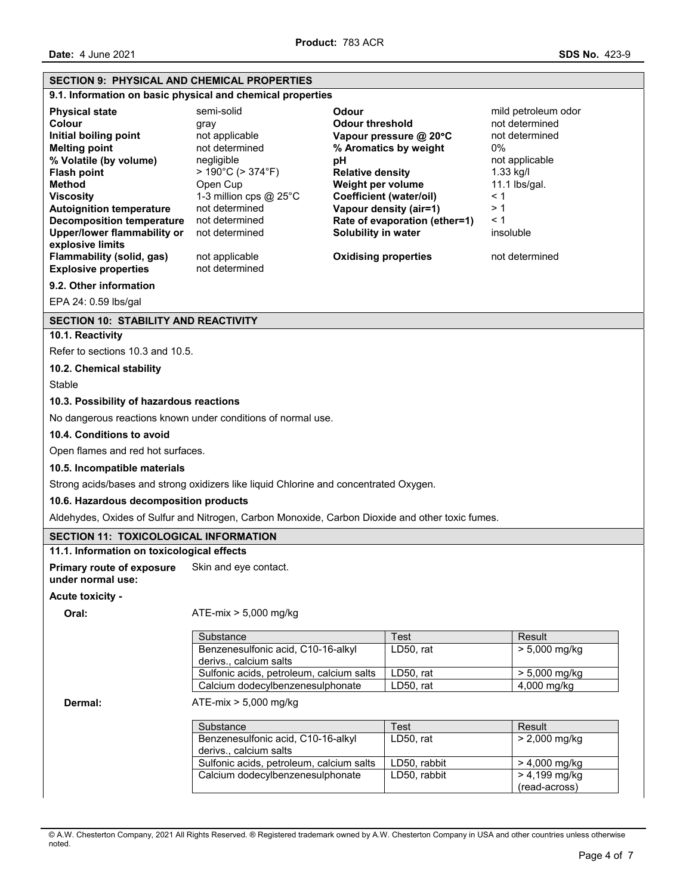| <b>SECTION 9: PHYSICAL AND CHEMICAL PROPERTIES</b>                 |                                                                                                  |                                              |                                  |  |
|--------------------------------------------------------------------|--------------------------------------------------------------------------------------------------|----------------------------------------------|----------------------------------|--|
|                                                                    | 9.1. Information on basic physical and chemical properties                                       |                                              |                                  |  |
| <b>Physical state</b>                                              | semi-solid                                                                                       | <b>Odour</b>                                 | mild petroleum odor              |  |
| Colour                                                             | gray                                                                                             | <b>Odour threshold</b>                       | not determined                   |  |
| Initial boiling point                                              | not applicable                                                                                   | Vapour pressure @ 20°C                       | not determined                   |  |
| <b>Melting point</b>                                               | not determined                                                                                   | % Aromatics by weight                        | 0%                               |  |
| % Volatile (by volume)<br><b>Flash point</b>                       | negligible<br>$>190^{\circ}$ C ( $>374^{\circ}$ F)                                               | рH                                           | not applicable<br>$1.33$ kg/l    |  |
| <b>Method</b>                                                      | Open Cup                                                                                         | <b>Relative density</b><br>Weight per volume | 11.1 lbs/gal.                    |  |
| <b>Viscosity</b>                                                   | 1-3 million cps @ 25°C                                                                           | <b>Coefficient (water/oil)</b>               | < 1                              |  |
| <b>Autoignition temperature</b>                                    | not determined                                                                                   | Vapour density (air=1)                       | >1                               |  |
| <b>Decomposition temperature</b>                                   | not determined                                                                                   | Rate of evaporation (ether=1)                | < 1                              |  |
| Upper/lower flammability or                                        | not determined                                                                                   | Solubility in water                          | insoluble                        |  |
| explosive limits<br>Flammability (solid, gas)                      |                                                                                                  | <b>Oxidising properties</b>                  | not determined                   |  |
| <b>Explosive properties</b>                                        | not applicable<br>not determined                                                                 |                                              |                                  |  |
| 9.2. Other information                                             |                                                                                                  |                                              |                                  |  |
| EPA 24: 0.59 lbs/gal                                               |                                                                                                  |                                              |                                  |  |
|                                                                    |                                                                                                  |                                              |                                  |  |
| <b>SECTION 10: STABILITY AND REACTIVITY</b>                        |                                                                                                  |                                              |                                  |  |
| 10.1. Reactivity                                                   |                                                                                                  |                                              |                                  |  |
| Refer to sections 10.3 and 10.5.                                   |                                                                                                  |                                              |                                  |  |
| 10.2. Chemical stability                                           |                                                                                                  |                                              |                                  |  |
| Stable                                                             |                                                                                                  |                                              |                                  |  |
| 10.3. Possibility of hazardous reactions                           |                                                                                                  |                                              |                                  |  |
|                                                                    | No dangerous reactions known under conditions of normal use.                                     |                                              |                                  |  |
| 10.4. Conditions to avoid                                          |                                                                                                  |                                              |                                  |  |
| Open flames and red hot surfaces.                                  |                                                                                                  |                                              |                                  |  |
| 10.5. Incompatible materials                                       |                                                                                                  |                                              |                                  |  |
|                                                                    | Strong acids/bases and strong oxidizers like liquid Chlorine and concentrated Oxygen.            |                                              |                                  |  |
| 10.6. Hazardous decomposition products                             |                                                                                                  |                                              |                                  |  |
|                                                                    | Aldehydes, Oxides of Sulfur and Nitrogen, Carbon Monoxide, Carbon Dioxide and other toxic fumes. |                                              |                                  |  |
| <b>SECTION 11: TOXICOLOGICAL INFORMATION</b>                       |                                                                                                  |                                              |                                  |  |
| 11.1. Information on toxicological effects                         |                                                                                                  |                                              |                                  |  |
| <b>Primary route of exposure</b><br>under normal use:              | Skin and eye contact.                                                                            |                                              |                                  |  |
| Acute toxicity -                                                   |                                                                                                  |                                              |                                  |  |
| Oral:                                                              | $ATE-mix > 5,000 mg/kg$                                                                          |                                              |                                  |  |
|                                                                    | Substance                                                                                        | Test                                         | Result                           |  |
|                                                                    | Benzenesulfonic acid, C10-16-alkyl                                                               | LD50, rat                                    | $> 5,000$ mg/kg                  |  |
|                                                                    | derivs., calcium salts                                                                           |                                              |                                  |  |
|                                                                    | Sulfonic acids, petroleum, calcium salts<br>Calcium dodecylbenzenesulphonate                     | LD50, rat<br>LD50, rat                       | > 5,000 mg/kg<br>4,000 mg/kg     |  |
| Dermal:                                                            | $ATE-mix > 5,000$ mg/kg                                                                          |                                              |                                  |  |
|                                                                    |                                                                                                  |                                              |                                  |  |
|                                                                    | Substance                                                                                        | Test                                         | Result                           |  |
|                                                                    | Benzenesulfonic acid, C10-16-alkyl                                                               | LD50, rat                                    | $> 2,000$ mg/kg                  |  |
| derivs., calcium salts<br>Sulfonic acids, petroleum, calcium salts |                                                                                                  |                                              |                                  |  |
|                                                                    | Calcium dodecylbenzenesulphonate                                                                 | LD50, rabbit<br>LD50, rabbit                 | $> 4,000$ mg/kg<br>> 4,199 mg/kg |  |
|                                                                    |                                                                                                  |                                              | (read-across)                    |  |

<sup>©</sup> A.W. Chesterton Company, 2021 All Rights Reserved. ® Registered trademark owned by A.W. Chesterton Company in USA and other countries unless otherwise noted.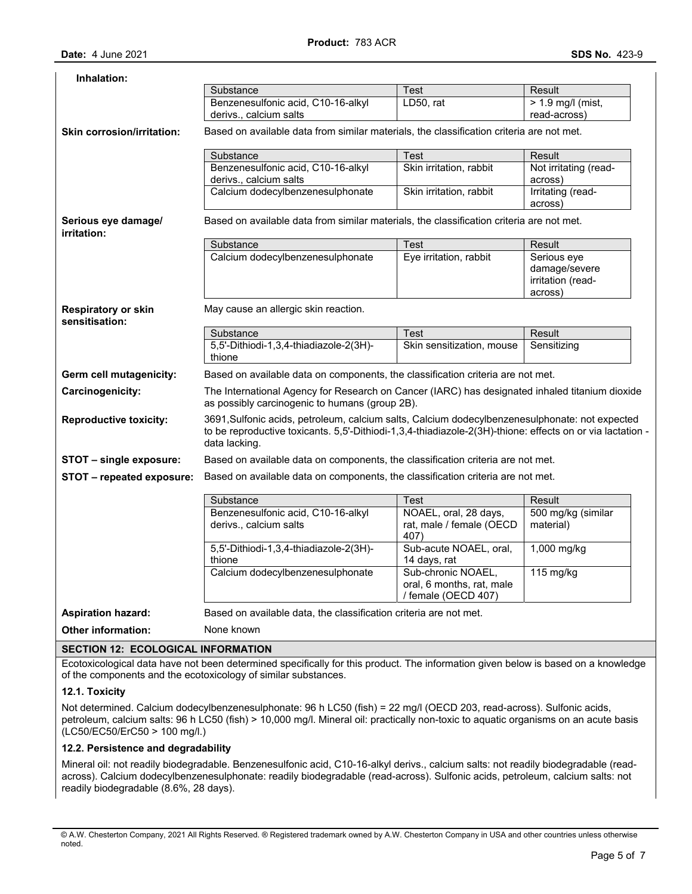| Inhalation:                                  |                                                                                                                                                                                                                              |                                                                        |                                                              |  |  |  |
|----------------------------------------------|------------------------------------------------------------------------------------------------------------------------------------------------------------------------------------------------------------------------------|------------------------------------------------------------------------|--------------------------------------------------------------|--|--|--|
|                                              | Substance                                                                                                                                                                                                                    | Test                                                                   | Result                                                       |  |  |  |
|                                              | Benzenesulfonic acid, C10-16-alkyl<br>derivs., calcium salts                                                                                                                                                                 | LD50, rat                                                              | $> 1.9$ mg/l (mist,<br>read-across)                          |  |  |  |
| Skin corrosion/irritation:                   | Based on available data from similar materials, the classification criteria are not met.                                                                                                                                     |                                                                        |                                                              |  |  |  |
|                                              | Substance                                                                                                                                                                                                                    | Test                                                                   | Result                                                       |  |  |  |
|                                              | Benzenesulfonic acid, C10-16-alkyl<br>derivs., calcium salts                                                                                                                                                                 | Skin irritation, rabbit                                                | Not irritating (read-<br>across)                             |  |  |  |
|                                              | Calcium dodecylbenzenesulphonate                                                                                                                                                                                             | Skin irritation, rabbit                                                | Irritating (read-<br>across)                                 |  |  |  |
| Serious eye damage/<br>irritation:           | Based on available data from similar materials, the classification criteria are not met.                                                                                                                                     |                                                                        |                                                              |  |  |  |
|                                              | Substance                                                                                                                                                                                                                    | Test                                                                   | Result                                                       |  |  |  |
|                                              | Calcium dodecylbenzenesulphonate                                                                                                                                                                                             | Eye irritation, rabbit                                                 | Serious eye<br>damage/severe<br>irritation (read-<br>across) |  |  |  |
| <b>Respiratory or skin</b><br>sensitisation: | May cause an allergic skin reaction.                                                                                                                                                                                         |                                                                        |                                                              |  |  |  |
|                                              | Substance                                                                                                                                                                                                                    | Test                                                                   | <b>Result</b>                                                |  |  |  |
|                                              | 5,5'-Dithiodi-1,3,4-thiadiazole-2(3H)-<br>thione                                                                                                                                                                             | Skin sensitization, mouse                                              | Sensitizing                                                  |  |  |  |
| Germ cell mutagenicity:                      | Based on available data on components, the classification criteria are not met.                                                                                                                                              |                                                                        |                                                              |  |  |  |
| <b>Carcinogenicity:</b>                      | The International Agency for Research on Cancer (IARC) has designated inhaled titanium dioxide<br>as possibly carcinogenic to humans (group 2B).                                                                             |                                                                        |                                                              |  |  |  |
| <b>Reproductive toxicity:</b>                | 3691, Sulfonic acids, petroleum, calcium salts, Calcium dodecylbenzenesulphonate: not expected<br>to be reproductive toxicants. 5,5'-Dithiodi-1,3,4-thiadiazole-2(3H)-thione: effects on or via lactation -<br>data lacking. |                                                                        |                                                              |  |  |  |
| STOT - single exposure:                      | Based on available data on components, the classification criteria are not met.                                                                                                                                              |                                                                        |                                                              |  |  |  |
| STOT - repeated exposure:                    | Based on available data on components, the classification criteria are not met.                                                                                                                                              |                                                                        |                                                              |  |  |  |
|                                              | Substance                                                                                                                                                                                                                    | Test                                                                   | Result                                                       |  |  |  |
|                                              | Benzenesulfonic acid, C10-16-alkyl                                                                                                                                                                                           | NOAEL, oral, 28 days,                                                  | 500 mg/kg (similar                                           |  |  |  |
|                                              | derivs., calcium salts                                                                                                                                                                                                       | rat, male / female (OECD<br>407)                                       | material)                                                    |  |  |  |
|                                              | 5,5'-Dithiodi-1,3,4-thiadiazole-2(3H)-<br>thione                                                                                                                                                                             | Sub-acute NOAEL, oral,<br>14 days, rat                                 | $1,000$ mg/kg                                                |  |  |  |
|                                              | Calcium dodecylbenzenesulphonate                                                                                                                                                                                             | Sub-chronic NOAEL,<br>oral, 6 months, rat, male<br>/ female (OECD 407) | $115$ mg/kg                                                  |  |  |  |
| <b>Aspiration hazard:</b>                    | Based on available data, the classification criteria are not met.                                                                                                                                                            |                                                                        |                                                              |  |  |  |
| <b>Other information:</b>                    | None known                                                                                                                                                                                                                   |                                                                        |                                                              |  |  |  |

## **SECTION 12: ECOLOGICAL INFORMATION**

Ecotoxicological data have not been determined specifically for this product. The information given below is based on a knowledge of the components and the ecotoxicology of similar substances.

## **12.1. Toxicity**

Not determined. Calcium dodecylbenzenesulphonate: 96 h LC50 (fish) = 22 mg/l (OECD 203, read-across). Sulfonic acids, petroleum, calcium salts: 96 h LC50 (fish) > 10,000 mg/l. Mineral oil: practically non-toxic to aquatic organisms on an acute basis (LC50/EC50/ErC50 > 100 mg/l.)

## **12.2. Persistence and degradability**

Mineral oil: not readily biodegradable. Benzenesulfonic acid, C10-16-alkyl derivs., calcium salts: not readily biodegradable (readacross). Calcium dodecylbenzenesulphonate: readily biodegradable (read-across). Sulfonic acids, petroleum, calcium salts: not readily biodegradable (8.6%, 28 days).

<sup>©</sup> A.W. Chesterton Company, 2021 All Rights Reserved. ® Registered trademark owned by A.W. Chesterton Company in USA and other countries unless otherwise noted.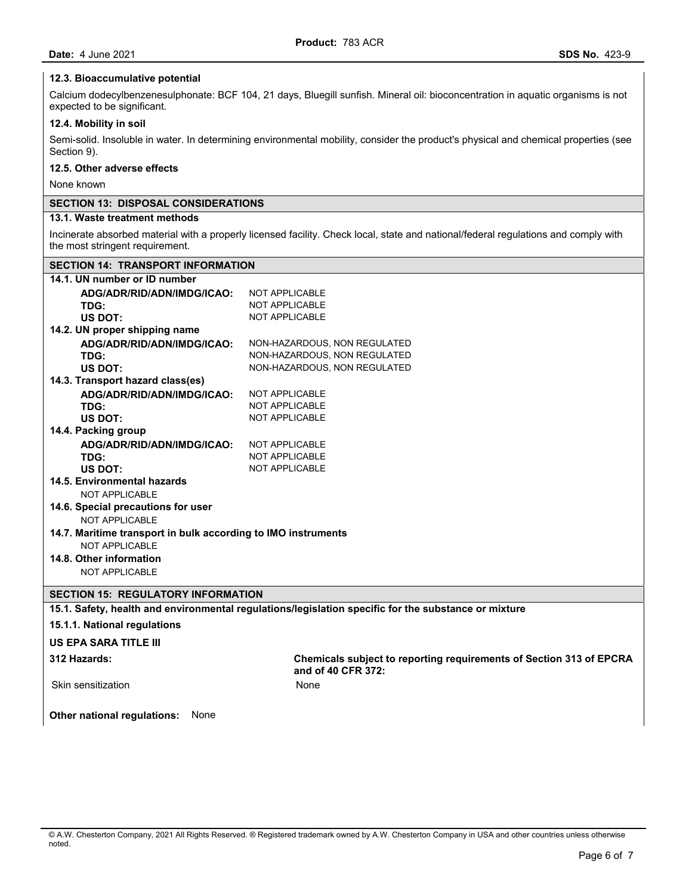### **12.3. Bioaccumulative potential**

Calcium dodecylbenzenesulphonate: BCF 104, 21 days, Bluegill sunfish. Mineral oil: bioconcentration in aquatic organisms is not expected to be significant.

## **12.4. Mobility in soil**

Semi-solid. Insoluble in water. In determining environmental mobility, consider the product's physical and chemical properties (see Section 9).

## **12.5. Other adverse effects**

None known

## **SECTION 13: DISPOSAL CONSIDERATIONS**

# **13.1. Waste treatment methods**

Incinerate absorbed material with a properly licensed facility. Check local, state and national/federal regulations and comply with the most stringent requirement.

## **SECTION 14: TRANSPORT INFORMATION**

| 14.1. UN number or ID number                                  |                                                                                                      |
|---------------------------------------------------------------|------------------------------------------------------------------------------------------------------|
| ADG/ADR/RID/ADN/IMDG/ICAO:                                    | NOT APPLICABLE                                                                                       |
| TDG:                                                          | <b>NOT APPLICABLE</b>                                                                                |
| <b>US DOT:</b>                                                | <b>NOT APPLICABLE</b>                                                                                |
| 14.2. UN proper shipping name                                 |                                                                                                      |
| ADG/ADR/RID/ADN/IMDG/ICAO:                                    | NON-HAZARDOUS, NON REGULATED                                                                         |
| TDG:                                                          | NON-HAZARDOUS, NON REGULATED                                                                         |
| US DOT:                                                       | NON-HAZARDOUS, NON REGULATED                                                                         |
| 14.3. Transport hazard class(es)                              |                                                                                                      |
| ADG/ADR/RID/ADN/IMDG/ICAO:                                    | <b>NOT APPLICABLE</b>                                                                                |
| TDG:                                                          | <b>NOT APPLICABLE</b>                                                                                |
| <b>US DOT:</b>                                                | <b>NOT APPLICABLE</b>                                                                                |
| 14.4. Packing group                                           |                                                                                                      |
| ADG/ADR/RID/ADN/IMDG/ICAO:                                    | <b>NOT APPLICABLE</b>                                                                                |
| TDG:                                                          | <b>NOT APPLICABLE</b>                                                                                |
| US DOT:                                                       | <b>NOT APPLICABLE</b>                                                                                |
| 14.5. Environmental hazards                                   |                                                                                                      |
| <b>NOT APPLICABLE</b>                                         |                                                                                                      |
| 14.6. Special precautions for user                            |                                                                                                      |
| NOT APPLICABLE                                                |                                                                                                      |
| 14.7. Maritime transport in bulk according to IMO instruments |                                                                                                      |
| NOT APPLICABLE                                                |                                                                                                      |
| 14.8. Other information                                       |                                                                                                      |
| NOT APPLICABLE                                                |                                                                                                      |
| <b>SECTION 15: REGULATORY INFORMATION</b>                     |                                                                                                      |
|                                                               | 15.1. Safety, health and environmental regulations/legislation specific for the substance or mixture |
|                                                               |                                                                                                      |
| 15.1.1. National regulations                                  |                                                                                                      |
| <b>US EPA SARA TITLE III</b>                                  |                                                                                                      |
| 312 Hazards:                                                  | Chemicals subject to reporting requirements of Section 313 of EPCRA<br>and of 40 CFR 372:            |
| Skin sensitization                                            | None                                                                                                 |
| Other national regulations:<br>None                           |                                                                                                      |

<sup>©</sup> A.W. Chesterton Company, 2021 All Rights Reserved. ® Registered trademark owned by A.W. Chesterton Company in USA and other countries unless otherwise noted.